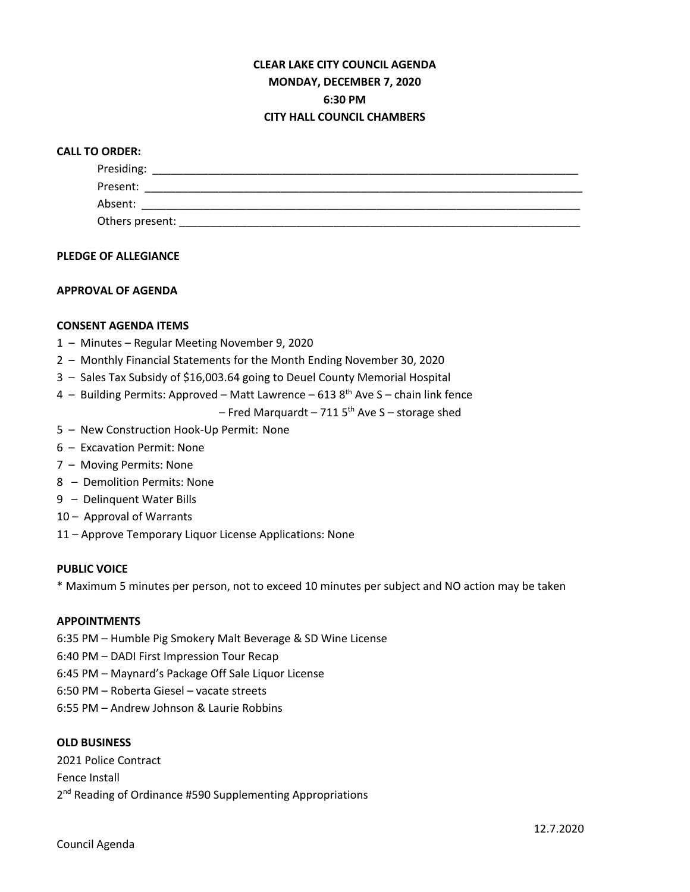## **CLEAR LAKE CITY COUNCIL AGENDA MONDAY, DECEMBER 7, 2020 6:30 PM CITY HALL COUNCIL CHAMBERS**

## **CALL TO ORDER:**

| Presiding:      |  |  |
|-----------------|--|--|
| Present:        |  |  |
| Absent:         |  |  |
| Others present: |  |  |

#### **PLEDGE OF ALLEGIANCE**

## **APPROVAL OF AGENDA**

#### **CONSENT AGENDA ITEMS**

- 1 Minutes Regular Meeting November 9, 2020
- 2 Monthly Financial Statements for the Month Ending November 30, 2020
- 3 Sales Tax Subsidy of \$16,003.64 going to Deuel County Memorial Hospital
- 4 Building Permits: Approved Matt Lawrence 613  $8<sup>th</sup>$  Ave S chain link fence
	- Fred Marquardt 711  $5<sup>th</sup>$  Ave S storage shed
- 5 New Construction Hook-Up Permit: None
- 6 Excavation Permit: None
- 7 Moving Permits: None
- 8 Demolition Permits: None
- 9 Delinquent Water Bills
- 10 Approval of Warrants
- 11 Approve Temporary Liquor License Applications: None

#### **PUBLIC VOICE**

\* Maximum 5 minutes per person, not to exceed 10 minutes per subject and NO action may be taken

#### **APPOINTMENTS**

- 6:35 PM Humble Pig Smokery Malt Beverage & SD Wine License
- 6:40 PM DADI First Impression Tour Recap
- 6:45 PM Maynard's Package Off Sale Liquor License
- 6:50 PM Roberta Giesel vacate streets
- 6:55 PM Andrew Johnson & Laurie Robbins

#### **OLD BUSINESS**

2021 Police Contract Fence Install 2<sup>nd</sup> Reading of Ordinance #590 Supplementing Appropriations